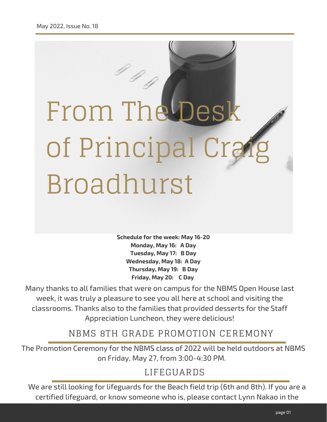# From The D of Principal Crai Broadhurst

**Schedule for the week: May 16-20 Monday, May 16: A Day Tuesday, May 17: B Day Wednesday, May 18: A Day Thursday, May 19: B Day Friday, May 20: C Day**

Many thanks to all families that were on campus for the NBMS Open House last week, it was truly a pleasure to see you all here at school and visiting the classrooms. Thanks also to the families that provided desserts for the Staff Appreciation Luncheon, they were delicious!

NBMS 8TH GRADE PROMOTION CEREMONY

The Promotion Ceremony for the NBMS class of 2022 will be held outdoors at NBMS on Friday, May 27, from 3:00-4:30 PM.

#### LIFEGUARDS

We are still looking for lifeguards for the Beach field trip (6th and 8th). If you are a certified lifeguard, or know someone who is, please contact Lynn Nakao in the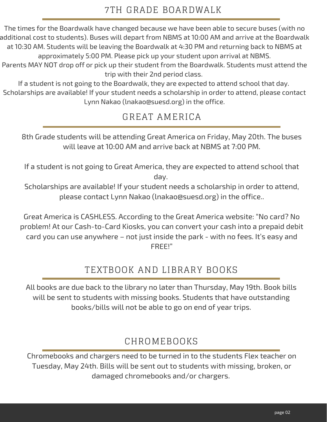The times for the Boardwalk have changed because we have been able to secure buses (with no additional cost to students). Buses will depart from NBMS at 10:00 AM and arrive at the Boardwalk at 10:30 AM. Students will be leaving the Boardwalk at 4:30 PM and returning back to NBMS at approximately 5:00 PM. Please pick up your student upon arrival at NBMS.

Parents MAY NOT drop off or pick up their student from the Boardwalk. Students must attend the trip with their 2nd period class.

If a student is not going to the Boardwalk, they are expected to attend school that day. Scholarships are available! If your student needs a scholarship in order to attend, please contact Lynn Nakao ([lnakao@suesd.org\)](mailto:lnakao@suesd.org) in the office.

# GREAT AMERICA

8th Grade students will be attending Great America on Friday, May 20th. The buses will leave at 10:00 AM and arrive back at NBMS at 7:00 PM.

If a student is not going to Great America, they are expected to attend school that day.

Scholarships are available! If your student needs a scholarship in order to attend, please contact Lynn Nakao ([lnakao@suesd.org\)](mailto:lnakao@suesd.org) in the office..

Great America is CASHLESS. According to the Great America website: "No card? No problem! At our Cash-to-Card Kiosks, you can convert your cash into a prepaid debit card you can use anywhere – not just inside the park - with no fees. It's easy and FREE!"

# TEXTBOOK AND LIBRARY BOOKS

All books are due back to the library no later than Thursday, May 19th. Book bills will be sent to students with missing books. Students that have outstanding books/bills will not be able to go on end of year trips.

## CHROMEBOOKS

Chromebooks and chargers need to be turned in to the students Flex teacher on Tuesday, May 24th. Bills will be sent out to students with missing, broken, or damaged chromebooks and/or chargers.